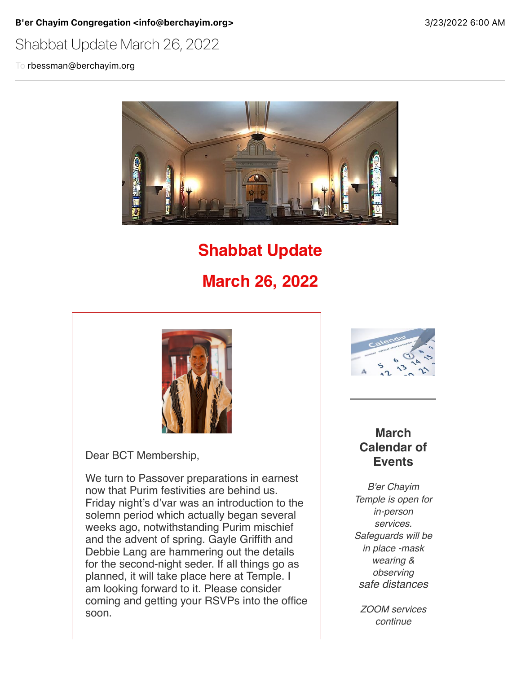B'er Chayim Congregation <info@berchayim.org>
3/23/2022 6:00 AM

## Shabbat Update March 26, 2022

To rbessman@berchayim.org



# **Shabbat Update**

## **March 26, 2022**



Dear BCT Membership,

We turn to Passover preparations in earnest now that Purim festivities are behind us. Friday night's d'var was an introduction to the solemn period which actually began several weeks ago, notwithstanding Purim mischief and the advent of spring. Gayle Griffith and Debbie Lang are hammering out the details for the second-night seder. If all things go as planned, it will take place here at Temple. I am looking forward to it. Please consider coming and getting your RSVPs into the office soon.



#### **March Calendar of Events**

*B'er Chayim Temple is open for in-person services. Safeguards will be in place -mask wearing & observing safe distances*

*ZOOM services continue*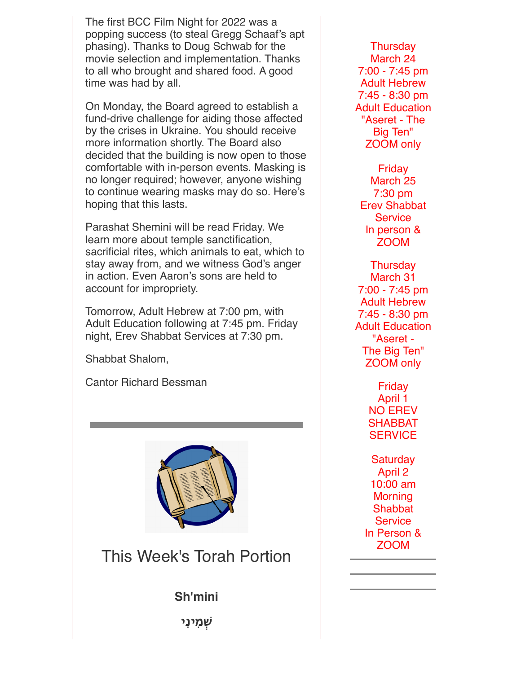The first BCC Film Night for 2022 was a popping success (to steal Gregg Schaaf's apt phasing). Thanks to Doug Schwab for the movie selection and implementation. Thanks to all who brought and shared food. A good time was had by all.

On Monday, the Board agreed to establish a fund-drive challenge for aiding those affected by the crises in Ukraine. You should receive more information shortly. The Board also decided that the building is now open to those comfortable with in-person events. Masking is no longer required; however, anyone wishing to continue wearing masks may do so. Here's hoping that this lasts.

Parashat Shemini will be read Friday. We learn more about temple sanctification, sacrificial rites, which animals to eat, which to stay away from, and we witness God's anger in action. Even Aaron's sons are held to account for impropriety.

Tomorrow, Adult Hebrew at 7:00 pm, with Adult Education following at 7:45 pm. Friday night, Erev Shabbat Services at 7:30 pm.

Shabbat Shalom,

Cantor Richard Bessman



This Week's Torah Portion

**Sh'mini**

**'ְמִינִי**

**Thursday** March 24 7:00 - 7:45 pm Adult Hebrew 7:45 - 8:30 pm Adult Education "Aseret - The Big Ten" ZOOM only

Friday March 25 7:30 pm Erev Shabbat **Service** In person & ZOOM

**Thursday** March 31 7:00 - 7:45 pm Adult Hebrew 7:45 - 8:30 pm Adult Education "Aseret - The Big Ten" ZOOM only

> Friday April 1 NO EREV SHABBAT **SERVICE**

**Saturday** April 2 10:00 am **Morning Shabbat Service** In Person & ZOOM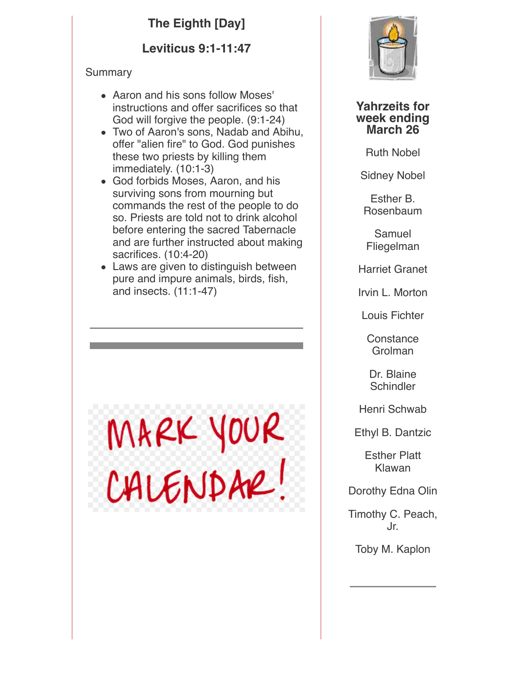## **The Eighth [Day]**

### **Leviticus 9:1-11:47**

#### Summary

- Aaron and his sons follow Moses' instructions and offer sacrifices so that God will forgive the people. (9:1-24)
- Two of Aaron's sons, Nadab and Abihu, offer "alien fire" to God. God punishes these two priests by killing them immediately. (10:1-3)
- God forbids Moses, Aaron, and his surviving sons from mourning but commands the rest of the people to do so. Priests are told not to drink alcohol before entering the sacred Tabernacle and are further instructed about making sacrifices. (10:4-20)
- Laws are given to distinguish between pure and impure animals, birds, fish, and insects. (11:1-47)

MARK YOUR<br>CALENDAR!



**Yahrzeits for week ending March 26**

Ruth Nobel

Sidney Nobel

Esther B. Rosenbaum

Samuel Fliegelman

Harriet Granet

Irvin L. Morton

Louis Fichter

**Constance** Grolman

Dr. Blaine **Schindler** 

Henri Schwab

Ethyl B. Dantzic

Esther Platt Klawan

Dorothy Edna Olin

Timothy C. Peach, Jr.

Toby M. Kaplon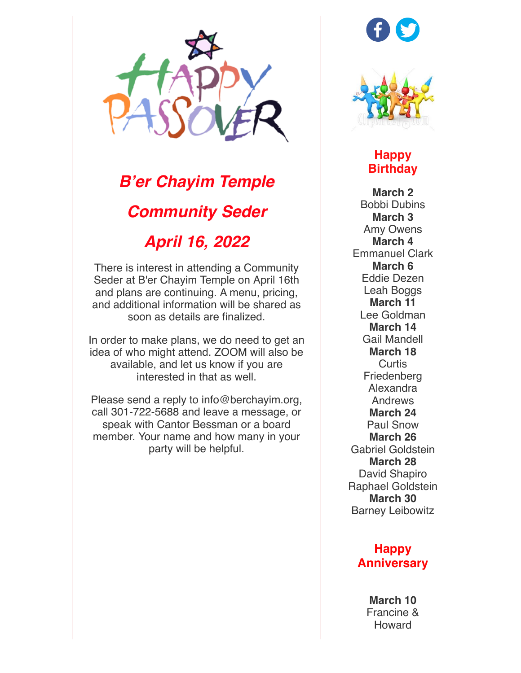

# *B'er Chayim Temple Community Seder April 16, 2022*

There is interest in attending a Community Seder at B'er Chayim Temple on April 16th and plans are continuing. A menu, pricing, and additional information will be shared as soon as details are finalized.

In order to make plans, we do need to get an idea of who might attend. ZOOM will also be available, and let us know if you are interested in that as well.

Please send a reply to info@berchayim.org, call 301-722-5688 and leave a message, or speak with Cantor Bessman or a board member. Your name and how many in your party will be helpful.





**Happy Birthday**

**March 2** Bobbi Dubins **March 3** Amy Owens **March 4** Emmanuel Clark **March 6** Eddie Dezen Leah Boggs **March 11** Lee Goldman **March 14** Gail Mandell **March 18 Curtis** Friedenberg Alexandra Andrews **March 24** Paul Snow **March 26** Gabriel Goldstein **March 28** David Shapiro Raphael Goldstein **March 30** Barney Leibowitz

#### **Happy Anniversary**

**March 10** Francine & Howard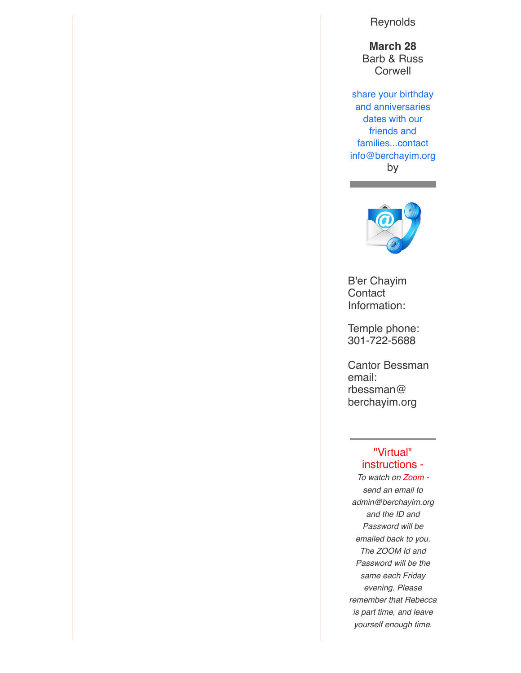**Reynolds** 

**March 28** Barb & Russ **Corwell** 

share your birthday and anniversaries dates with our friends and families...contact info@berchayim.org by



B'er Chayim **Contact** Information:

Temple phone: 301-722-5688

Cantor Bessman email: rbessman@ berchayim.org

#### "Virtual" instructions -

*To watch on Zoom send an email to admin@berchayim.org and the ID and Password will be emailed back to you. The ZOOM Id and Password will be the same each Friday evening. Please remember that Rebecca is part time, and leave yourself enough time.*